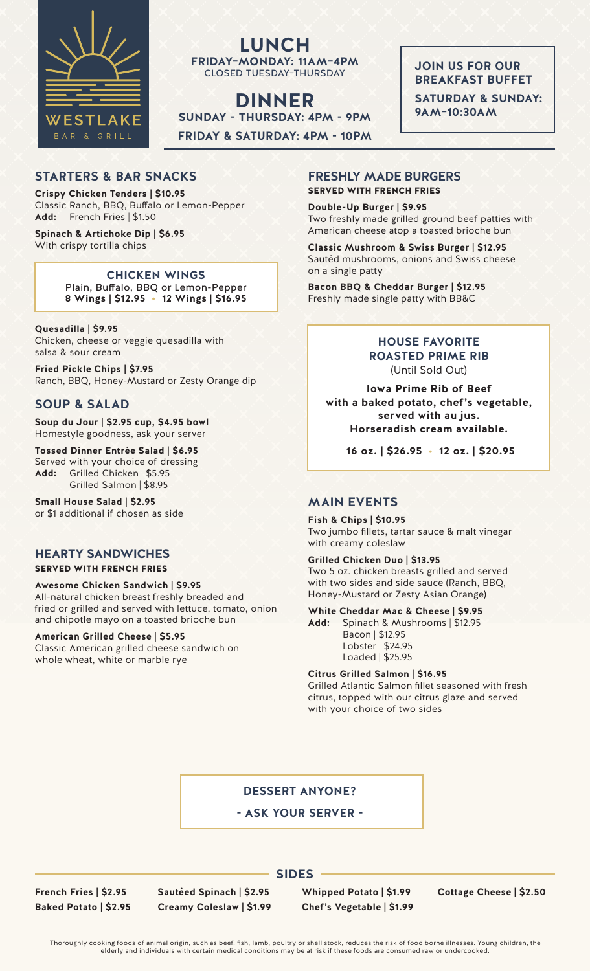

**LUNCH FRIDAY–MONDAY: 11AM–4PM** CLOSED TUESDAY–THURSDAY

**DINNER SUNDAY - THURSDAY: 4PM - 9PM FRIDAY & SATURDAY: 4PM - 10PM**  **JOIN US FOR OUR BREAKFAST BUFFET** 

**SATURDAY & SUNDAY: 9AM–10:30AM** 

## **STARTERS & BAR SNACKS**

**Crispy Chicken Tenders | \$10.95** Classic Ranch, BBQ, Buffalo or Lemon-Pepper **Add:** French Fries | \$1.50

#### **Spinach & Artichoke Dip | \$6.95** With crispy tortilla chips

**CHICKEN WINGS** Plain, Buffalo, BBQ or Lemon-Pepper **8 Wings | \$12.95 • 12 Wings | \$16.95**

### **Quesadilla | \$9.95**

Chicken, cheese or veggie quesadilla with salsa & sour cream

**Fried Pickle Chips | \$7.95** Ranch, BBQ, Honey-Mustard or Zesty Orange dip

# **SOUP & SALAD**

**Soup du Jour | \$2.95 cup, \$4.95 bowl** Homestyle goodness, ask your server

**Tossed Dinner Entrée Salad | \$6.95** Served with your choice of dressing **Add:** Grilled Chicken | \$5.95 Grilled Salmon | \$8.95

**Small House Salad | \$2.95**  or \$1 additional if chosen as side

## **HEARTY SANDWICHES**

### SERVED WITH FRENCH FRIES

**Awesome Chicken Sandwich | \$9.95** All-natural chicken breast freshly breaded and fried or grilled and served with lettuce, tomato, onion and chipotle mayo on a toasted brioche bun

### **American Grilled Cheese | \$5.95**

Classic American grilled cheese sandwich on whole wheat, white or marble rye

# **FRESHLY MADE BURGERS**

SERVED WITH FRENCH FRIES

**Double-Up Burger | \$9.95** Two freshly made grilled ground beef patties with American cheese atop a toasted brioche bun

**Classic Mushroom & Swiss Burger | \$12.95** Sautéd mushrooms, onions and Swiss cheese on a single patty

**Bacon BBQ & Cheddar Burger | \$12.95** Freshly made single patty with BB&C

## **HOUSE FAVORITE ROASTED PRIME RIB** (Until Sold Out)

**Iowa Prime Rib of Beef with a baked potato, chef's vegetable, served with au jus. Horseradish cream available.**

**16 oz. | \$26.95 • 12 oz. | \$20.95**

## **MAIN EVENTS**

**Fish & Chips | \$10.95** Two jumbo fillets, tartar sauce & malt vinegar with creamy coleslaw

### **Grilled Chicken Duo | \$13.95**

Two 5 oz. chicken breasts grilled and served with two sides and side sauce (Ranch, BBQ, Honey-Mustard or Zesty Asian Orange)

### **White Cheddar Mac & Cheese | \$9.95**

**Add:** Spinach & Mushrooms | \$12.95 Bacon | \$12.95 Lobster | \$24.95 Loaded | \$25.95

**Citrus Grilled Salmon | \$16.95**

Grilled Atlantic Salmon fillet seasoned with fresh citrus, topped with our citrus glaze and served with your choice of two sides

## **DESSERT ANYONE?**

**- ASK YOUR SERVER -**

**French Fries | \$2.95 Baked Potato | \$2.95** **Sautéed Spinach | \$2.95 Creamy Coleslaw | \$1.99** **Whipped Potato | \$1.99 Chef's Vegetable | \$1.99**

**Cottage Cheese | \$2.50**

Thoroughly cooking foods of animal origin, such as beef, fish, lamb, poultry or shell stock, reduces the risk of food borne illnesses. Young children, the elderly and individuals with certain medical conditions may be at risk if these foods are consumed raw or undercooked.

**SIDES**